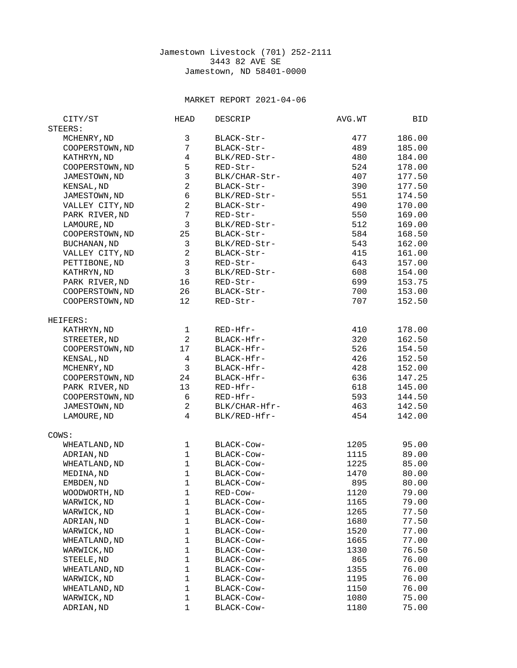## Jamestown Livestock (701) 252-2111 3443 82 AVE SE Jamestown, ND 58401-0000

## MARKET REPORT 2021-04-06

| CITY/ST             | <b>HEAD</b>    | DESCRIP       | AVG.WT | BID    |
|---------------------|----------------|---------------|--------|--------|
| STEERS:             |                |               |        |        |
| MCHENRY, ND         | 3              | BLACK-Str-    | 477    | 186.00 |
| COOPERSTOWN, ND     | $\overline{7}$ | BLACK-Str-    | 489    | 185.00 |
| KATHRYN, ND         | 4              | BLK/RED-Str-  | 480    | 184.00 |
| COOPERSTOWN, ND     | 5              | RED-Str-      | 524    | 178.00 |
| JAMESTOWN, ND       | 3              | BLK/CHAR-Str- | 407    | 177.50 |
| KENSAL, ND          | $\overline{c}$ | BLACK-Str-    | 390    | 177.50 |
|                     | 6              |               |        |        |
| JAMESTOWN, ND       |                | BLK/RED-Str-  | 551    | 174.50 |
| VALLEY CITY, ND     | $\overline{c}$ | BLACK-Str-    | 490    | 170.00 |
| PARK RIVER, ND      | $\overline{7}$ | RED-Str-      | 550    | 169.00 |
| LAMOURE, ND         | 3              | BLK/RED-Str-  | 512    | 169.00 |
| COOPERSTOWN, ND     | 25             | BLACK-Str-    | 584    | 168.50 |
| <b>BUCHANAN, ND</b> | 3              | BLK/RED-Str-  | 543    | 162.00 |
| VALLEY CITY, ND     | $\overline{c}$ | BLACK-Str-    | 415    | 161.00 |
| PETTIBONE, ND       | 3              | RED-Str-      | 643    | 157.00 |
| KATHRYN, ND         | 3              | BLK/RED-Str-  | 608    | 154.00 |
| PARK RIVER, ND      | 16             | RED-Str-      | 699    | 153.75 |
| COOPERSTOWN, ND     | 26             | BLACK-Str-    | 700    | 153.00 |
| COOPERSTOWN, ND     | 12             | RED-Str-      | 707    | 152.50 |
|                     |                |               |        |        |
| HEIFERS:            |                |               |        |        |
| KATHRYN, ND         | $\mathbf 1$    | RED-Hfr-      | 410    | 178.00 |
| STREETER, ND        | $\overline{c}$ | BLACK-Hfr-    | 320    | 162.50 |
| COOPERSTOWN, ND     | 17             | BLACK-Hfr-    | 526    | 154.50 |
| KENSAL, ND          | 4              | BLACK-Hfr-    | 426    | 152.50 |
|                     | 3              | BLACK-Hfr-    | 428    | 152.00 |
| MCHENRY, ND         |                |               |        |        |
| COOPERSTOWN, ND     | 24             | BLACK-Hfr-    | 636    | 147.25 |
| PARK RIVER, ND      | 13             | RED-Hfr-      | 618    | 145.00 |
| COOPERSTOWN, ND     | 6              | RED-Hfr-      | 593    | 144.50 |
| JAMESTOWN, ND       | $\overline{c}$ | BLK/CHAR-Hfr- | 463    | 142.50 |
| LAMOURE, ND         | $\overline{4}$ | BLK/RED-Hfr-  | 454    | 142.00 |
|                     |                |               |        |        |
| COWS:               |                |               |        |        |
| WHEATLAND, ND       | 1              | BLACK-Cow-    | 1205   | 95.00  |
| ADRIAN, ND          | $\mathbf{1}$   | BLACK-Cow-    | 1115   | 89.00  |
| WHEATLAND, ND       | $\mathbf{1}$   | BLACK-Cow-    | 1225   | 85.00  |
| MEDINA, ND          | $\mathbf{1}$   | BLACK-Cow-    | 1470   | 80.00  |
| EMBDEN, ND          | $\mathbf{1}$   | BLACK-COW-    | 895    | 80.00  |
| WOODWORTH, ND       | 1              | RED-COW-      | 1120   | 79.00  |
| WARWICK, ND         | 1              | BLACK-Cow-    | 1165   | 79.00  |
| WARWICK, ND         | $\mathbf{1}$   | BLACK-Cow-    | 1265   | 77.50  |
| ADRIAN, ND          | $\mathbf 1$    | BLACK-Cow-    | 1680   | 77.50  |
| WARWICK, ND         | 1              | BLACK-Cow-    | 1520   | 77.00  |
| WHEATLAND, ND       | $\mathbf{1}$   | BLACK-Cow-    | 1665   | 77.00  |
| WARWICK, ND         | $\mathbf{1}$   | BLACK-COW-    | 1330   | 76.50  |
| STEELE, ND          | 1              | BLACK-Cow-    | 865    | 76.00  |
| WHEATLAND, ND       | 1              | BLACK-Cow-    | 1355   | 76.00  |
| WARWICK, ND         | 1              | BLACK-Cow-    | 1195   | 76.00  |
| WHEATLAND, ND       | $\mathbf{1}$   | BLACK-Cow-    | 1150   | 76.00  |
| WARWICK, ND         | 1              | BLACK-Cow-    | 1080   | 75.00  |
| ADRIAN, ND          | $\mathbf{1}$   | BLACK-Cow-    | 1180   | 75.00  |
|                     |                |               |        |        |